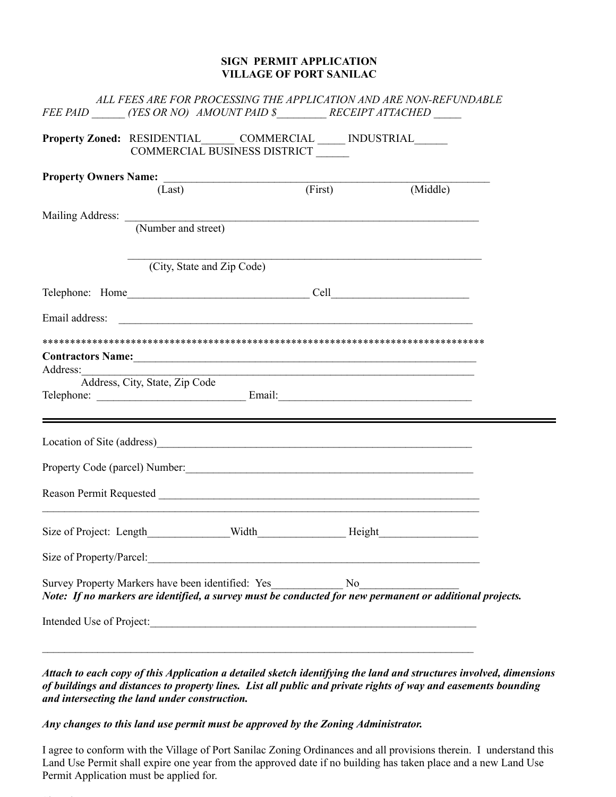## **SIGN PERMIT APPLICATION VILLAGE OF PORT SANILAC**

|          | FEE PAID ______(YES OR NO) AMOUNT PAID \$________RECEIPT ATTACHED                                                                                                                                                                     |  |                                                                                                                      | ALL FEES ARE FOR PROCESSING THE APPLICATION AND ARE NON-REFUNDABLE                                                                                            |  |
|----------|---------------------------------------------------------------------------------------------------------------------------------------------------------------------------------------------------------------------------------------|--|----------------------------------------------------------------------------------------------------------------------|---------------------------------------------------------------------------------------------------------------------------------------------------------------|--|
|          | Property Zoned: RESIDENTIAL______ COMMERCIAL _____ INDUSTRIAL______<br>COMMERCIAL BUSINESS DISTRICT                                                                                                                                   |  |                                                                                                                      |                                                                                                                                                               |  |
|          | Property Owners Name: (First) (First)                                                                                                                                                                                                 |  |                                                                                                                      |                                                                                                                                                               |  |
|          |                                                                                                                                                                                                                                       |  |                                                                                                                      | (Middle)                                                                                                                                                      |  |
|          |                                                                                                                                                                                                                                       |  |                                                                                                                      |                                                                                                                                                               |  |
|          | Mailing Address: (Number and street)                                                                                                                                                                                                  |  |                                                                                                                      |                                                                                                                                                               |  |
|          | (City, State and Zip Code)                                                                                                                                                                                                            |  |                                                                                                                      |                                                                                                                                                               |  |
|          |                                                                                                                                                                                                                                       |  |                                                                                                                      |                                                                                                                                                               |  |
|          |                                                                                                                                                                                                                                       |  |                                                                                                                      |                                                                                                                                                               |  |
| Address: | Contractors Name: 1988 and 2008 and 2008 and 2008 and 2008 and 2008 and 2008 and 2008 and 2008 and 2008 and 20<br>Address, City, State, Zip Code                                                                                      |  | <u> 2000 - 2000 - 2000 - 2000 - 2000 - 2000 - 2000 - 2000 - 2000 - 2000 - 2000 - 2000 - 2000 - 2000 - 2000 - 200</u> |                                                                                                                                                               |  |
|          |                                                                                                                                                                                                                                       |  |                                                                                                                      |                                                                                                                                                               |  |
|          |                                                                                                                                                                                                                                       |  |                                                                                                                      |                                                                                                                                                               |  |
|          | Reason Permit Requested<br><u> and a contract of the contract of the contract of the contract of the contract of the contract of the contract of the contract of the contract of the contract of the contract of the contract of </u> |  |                                                                                                                      |                                                                                                                                                               |  |
|          |                                                                                                                                                                                                                                       |  |                                                                                                                      |                                                                                                                                                               |  |
|          | Size of Property/Parcel:                                                                                                                                                                                                              |  |                                                                                                                      |                                                                                                                                                               |  |
|          |                                                                                                                                                                                                                                       |  |                                                                                                                      | Survey Property Markers have been identified: Yes<br>Note: If no markers are identified, a survey must be conducted for new permanent or additional projects. |  |
|          |                                                                                                                                                                                                                                       |  |                                                                                                                      |                                                                                                                                                               |  |
|          |                                                                                                                                                                                                                                       |  |                                                                                                                      |                                                                                                                                                               |  |

Attach to each copy of this Application a detailed sketch identifying the land and structures involved, dimensions of buildings and distances to property lines. List all public and private rights of way and easements bounding *and intersecting the land under construction.*

*Any changes to this land use permit must be approved by the Zoning Administrator.*

I agree to conform with the Village of Port Sanilac Zoning Ordinances and all provisions therein. I understand this Land Use Permit shall expire one year from the approved date if no building has taken place and a new Land Use Permit Application must be applied for.